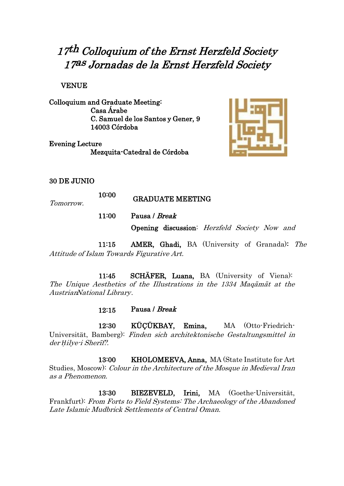# 17th Colloquium of the Ernst Herzfeld Society 17as Jornadas de la Ernst Herzfeld Society

VENUE

Colloquium and Graduate Meeting: Casa Árabe C. Samuel de los Santos y Gener, 9 14003 Córdoba

Evening Lecture Mezquita-Catedral de Córdoba



#### 30 DE JUNIO

10:00 GRADUATE MEETING

Tomorrow.

11:00 Pausa / Break

Opening discussion: Herzfeld Society Now and

11:15 AMER, Ghadi, BA (University of Granada): The Attitude of Islam Towards Figurative Art.

11:45 SCHÄFER, Luana, BA (University of Viena): The Unique Aesthetics of the Illustrations in the 1334 Maqāmāt at the AustrianNational Library.

 $12:15$  Pausa / Break

12:30 KÜÇÜKBAY, Emina, MA (Otto-Friedrich-Universität, Bamberg): Finden sich architektonische Gestaltungsmittel in der *Ḥ*ilye-i Sherīf?.

13:00 KHOLOMEEVA, Anna, MA (State Institute for Art Studies, Moscow): Colour in the Architecture of the Mosque in Medieval Iran as <sup>a</sup> Phenomenon.

13:30 BIEZEVELD, Irini, MA (Goethe-Universität, Frankfurt): From Forts to Field Systems: The Archaeology of the Abandoned Late Islamic Mudbrick Settlements of Central Oman.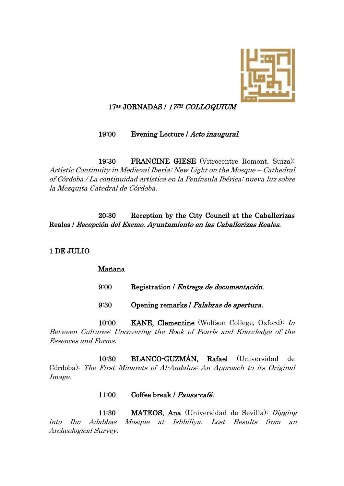

## 17<sup>as</sup> JORNADAS / 17TH COLLOQUIUM

#### 19:00 Evening Lecture / Acto inaugural.

19:30 FRANCINE GIESE (Vitrocentre Romont, Suiza): Artistic Continuity in Medieval Iberia: New Light on the Mosque – Cathedral of Córdoba / La continuidad artística en la Península Ibérica: nueva luz sobre la Mezquita Catedral de Córdoba.

20:30 Reception by the City Council at the Caballerizas Reales / Recepción del Excmo. Ayuntamiento en las Caballerizas Reales.

#### 1 DE JULIO

#### Mañana

| 9:00 | Registration / <i>Entrega de documentación</i> . |
|------|--------------------------------------------------|
| 9:30 | Opening remarks / Palabras de apertura.          |

10:00 KANE, Clementine (Wolfson College, Oxford): In Between Cultures: Uncovering the Book of Pearls and Knowledge of the Essences and Forms.

10:30 BLANCO-GUZMÁN, Rafael (Universidad de Córdoba): The First Minarets of Al-Andalus: An Approach to its Original Image.

#### 11:00 Coffee break / Pausa-café.

11:30 MATEOS, Ana (Universidad de Sevilla): Digging into Ibn Adabbas Mosque at Ishbiliya. Lost Results from an Archeological Survey.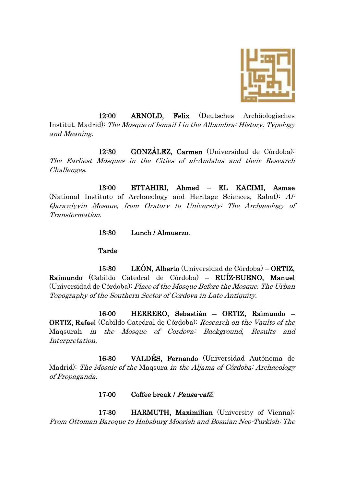

12:00 ARNOLD, Felix (Deutsches Archäologisches Institut, Madrid): The Mosque of Ismail I in the Alhambra: History, Typology and Meaning.

12:30 GONZÁLEZ, Carmen (Universidad de Córdoba): The Earliest Mosques in the Cities of al-Andalus and their Research Challenges.

13:00 ETTAHIRI, Ahmed – EL KACIMI, Asmae (National Instituto of Archaeology and Heritage Sciences, Rabat): Al-Qarawiyyin Mosque, from Oratory to University: The Archaeology of Transformation.

13:30 Lunch / Almuerzo.

#### Tarde

15:30 LEÓN, Alberto (Universidad de Córdoba) – ORTIZ, Raimundo (Cabildo Catedral de Córdoba) – RUÍZ-BUENO, Manuel (Universidad de Córdoba): Place of the Mosque Before the Mosque. The Urban Topography of the Southern Sector of Cordova in Late Antiquity.

16:00 HERRERO, Sebastián – ORTIZ, Raimundo – **ORTIZ, Rafael** (Cabildo Catedral de Córdoba): Research on the Vaults of the Maqsurah in the Mosque of Cordova: Background, Results and Interpretation.

16:30 VALDÉS, Fernando (Universidad Autónoma de Madrid): The Mosaic of the Maqsura in the Aljama of Córdoba: Archaeology of Propaganda.

#### 17:00 Coffee break / Pausa-café.

17:30 HARMUTH, Maximilian (University of Vienna): From Ottoman Baroque to Habsburg Moorish and Bosnian Neo-Turkish: The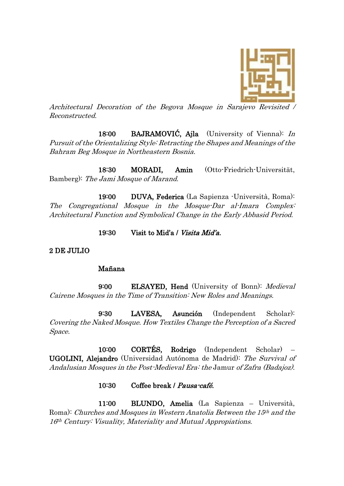

Architectural Decoration of the Begova Mosque in Sarajevo Revisited / Reconstructed.

18:00 BAJRAMOVIĆ, Ajla (University of Vienna): In Pursuit of the Orientalizing Style: Retracting the Shapes and Meanings of the Bahram Beg Mosque in Northeastern Bosnia.

18:30 MORADI, Amin (Otto-Friedrich-Universität, Bamberg): The Jami Mosque of Marand.

19:00 DUVA, Federica (La Sapienza -Università, Roma): The Congregational Mosque in the Mosque-Dar al-Imara Complex: Architectural Function and Symbolical Change in the Early Abbasid Period.

19:30 Visit to Mid'a / Visita Mid'a.

2 DE JULIO

#### Mañana

9:00 ELSAYED, Hend (University of Bonn): Medieval Cairene Mosques in the Time of Transition: New Roles and Meanings.

9:30 LAVESA, Asunción (Independent Scholar): Covering the Naked Mosque. How Textiles Change the Perception of a Sacred Space.

10:00 CORTÉS, Rodrigo (Independent Scholar) – UGOLINI, Alejandro (Universidad Autónoma de Madrid): The Survival of Andalusian Mosques in the Post-Medieval Era: the Jamur of Zafra (Badajoz).

### 10:30 Coffee break / Pausa-café.

11:00 BLUNDO, Amelia (La Sapienza – Università, Roma): Churches and Mosques in Western Anatolia Between the 15<sup>th</sup> and the 16<sup>th</sup> Century: Visuality, Materiality and Mutual Appropiations.